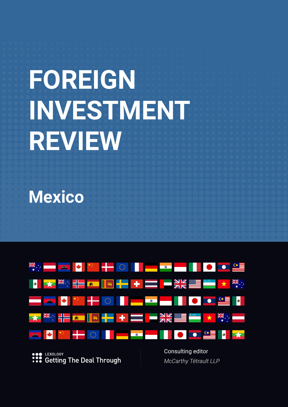# **FOREIGN INVESTMENT REVIEW**

**Mexico**



LEXOLOGY :: Getting The Deal Through Consulting editor *McCarthy Tétrault LLP*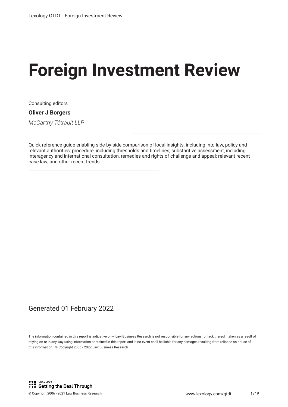# **Foreign Investment Review**

Consulting editors

#### **Oliver J Borgers**

*McCarthy Tétrault LLP*

Quick reference guide enabling side-by-side comparison of local insights, including into law, policy and relevant authorities; procedure, including thresholds and timelines; substantive assessment, including interagency and international consultation, remedies and rights of challenge and appeal; relevant recent case law; and other recent trends.

### Generated 01 February 2022

The information contained in this report is indicative only. Law Business Research is not responsible for any actions (or lack thereof) taken as a result of relying on or in any way using information contained in this report and in no event shall be liable for any damages resulting from reliance on or use of this information. © Copyright 2006 - 2022 Law Business Research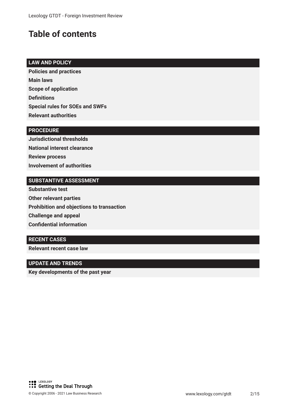# **Table of contents**

#### **LAW AND POLICY**

**Policies and practices Main laws Scope of application Defnitions Special rules for SOEs and SWFs Relevant authorities**

#### **PROCEDURE**

**Jurisdictional thresholds National interest clearance Review process Involvement of authorities**

#### **SUBSTANTIVE ASSESSMENT**

**Substantive test Other relevant parties Prohibition and objections to transaction Challenge and appeal Confdential information**

#### **RECENT CASES**

**Relevant recent case law**

#### **UPDATE AND TRENDS**

**Key developments of the past year**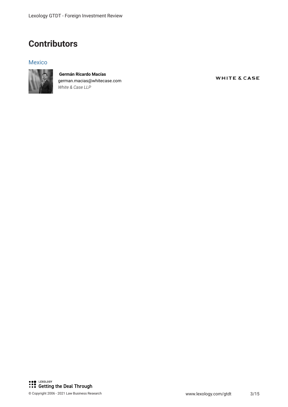## **Contributors**

#### Mexico



 **Germán Ricardo Macías** german.macias@whitecase.com *White & Case LLP*

**WHITE & CASE**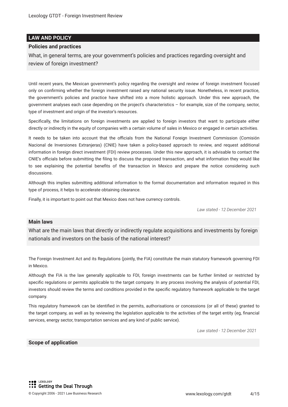#### **LAW AND POLICY**

#### **Policies and practices**

What, in general terms, are your government's policies and practices regarding oversight and review of foreign investment?

Until recent years, the Mexican government's policy regarding the oversight and review of foreign investment focused only on confrming whether the foreign investment raised any national security issue. Nonetheless, in recent practice, the government's policies and practice have shifted into a more holistic approach. Under this new approach, the government analyses each case depending on the project's characteristics – for example, size of the company, sector, type of investment and origin of the investor's resources.

Specifcally, the limitations on foreign investments are applied to foreign investors that want to participate either directly or indirectly in the equity of companies with a certain volume of sales in Mexico or engaged in certain activities.

It needs to be taken into account that the officials from the National Foreign Investment Commission (Comisión Nacional de Inversiones Extranjeras) (CNIE) have taken a policy-based approach to review, and request additional information in foreign direct investment (FDI) review processes. Under this new approach, it is advisable to contact the CNIE's officials before submitting the filing to discuss the proposed transaction, and what information they would like to see explaining the potential benefts of the transaction in Mexico and prepare the notice considering such discussions.

Although this implies submitting additional information to the formal documentation and information required in this type of process, it helps to accelerate obtaining clearance.

Finally, it is important to point out that Mexico does not have currency controls.

*Law stated - 12 December 2021*

#### **Main laws**

What are the main laws that directly or indirectly regulate acquisitions and investments by foreign nationals and investors on the basis of the national interest?

The Foreign Investment Act and its Regulations (jointly, the FIA) constitute the main statutory framework governing FDI in Mexico.

Although the FIA is the law generally applicable to FDI, foreign investments can be further limited or restricted by specifc regulations or permits applicable to the target company. In any process involving the analysis of potential FDI, investors should review the terms and conditions provided in the specifc regulatory framework applicable to the target company.

This regulatory framework can be identifed in the permits, authorisations or concessions (or all of these) granted to the target company, as well as by reviewing the legislation applicable to the activities of the target entity (eg, fnancial services, energy sector, transportation services and any kind of public service).

*Law stated - 12 December 2021*

#### **Scope of application**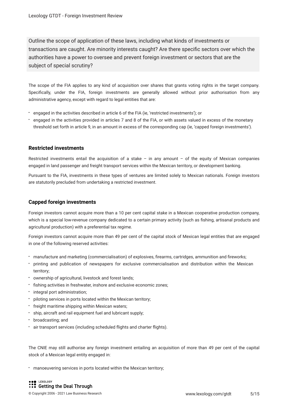Outline the scope of application of these laws, including what kinds of investments or transactions are caught. Are minority interests caught? Are there specifc sectors over which the authorities have a power to oversee and prevent foreign investment or sectors that are the subject of special scrutiny?

The scope of the FIA applies to any kind of acquisition over shares that grants voting rights in the target company. Specifcally, under the FIA, foreign investments are generally allowed without prior authorisation from any administrative agency, except with regard to legal entities that are:

- engaged in the activities described in article 6 of the FIA (ie, 'restricted investments'); or
- engaged in the activities provided in articles 7 and 8 of the FIA, or with assets valued in excess of the monetary threshold set forth in article 9, in an amount in excess of the corresponding cap (ie, 'capped foreign investments').

#### **Restricted investments**

Restricted investments entail the acquisition of a stake – in any amount – of the equity of Mexican companies engaged in land passenger and freight transport services within the Mexican territory, or development banking.

Pursuant to the FIA, investments in these types of ventures are limited solely to Mexican nationals. Foreign investors are statutorily precluded from undertaking a restricted investment.

#### **Capped foreign investments**

Foreign investors cannot acquire more than a 10 per cent capital stake in a Mexican cooperative production company, which is a special low-revenue company dedicated to a certain primary activity (such as fshing, artisanal products and agricultural production) with a preferential tax regime.

Foreign investors cannot acquire more than 49 per cent of the capital stock of Mexican legal entities that are engaged in one of the following reserved activities:

- manufacture and marketing (commercialisation) of explosives, frearms, cartridges, ammunition and freworks;
- printing and publication of newspapers for exclusive commercialisation and distribution within the Mexican territory;
- ownership of agricultural, livestock and forest lands;
- $\cdot$  fishing activities in freshwater, inshore and exclusive economic zones;
- integral port administration;
- piloting services in ports located within the Mexican territory;
- freight maritime shipping within Mexican waters;
- ship, aircraft and rail equipment fuel and lubricant supply;
- broadcasting; and
- air transport services (including scheduled fights and charter fights).

The CNIE may still authorise any foreign investment entailing an acquisition of more than 49 per cent of the capital stock of a Mexican legal entity engaged in:

manoeuvering services in ports located within the Mexican territory;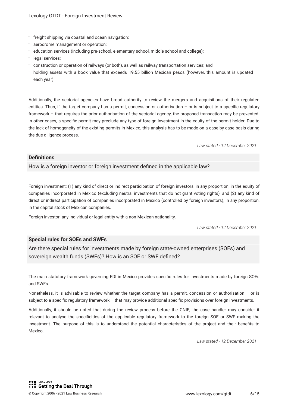- freight shipping via coastal and ocean navigation;
- aerodrome management or operation;
- education services (including pre-school, elementary school, middle school and college);
- legal services;
- construction or operation of railways (or both), as well as railway transportation services; and
- holding assets with a book value that exceeds 19.55 billion Mexican pesos (however, this amount is updated each year).

Additionally, the sectorial agencies have broad authority to review the mergers and acquisitions of their regulated entities. Thus, if the target company has a permit, concession or authorisation  $-$  or is subject to a specific regulatory framework – that requires the prior authorisation of the sectorial agency, the proposed transaction may be prevented. In other cases, a specifc permit may preclude any type of foreign investment in the equity of the permit holder. Due to the lack of homogeneity of the existing permits in Mexico, this analysis has to be made on a case-by-case basis during the due diligence process.

*Law stated - 12 December 2021*

#### **Defnitions**

How is a foreign investor or foreign investment defned in the applicable law?

Foreign investment: (1) any kind of direct or indirect participation of foreign investors, in any proportion, in the equity of companies incorporated in Mexico (excluding neutral investments that do not grant voting rights); and (2) any kind of direct or indirect participation of companies incorporated in Mexico (controlled by foreign investors), in any proportion, in the capital stock of Mexican companies.

Foreign investor: any individual or legal entity with a non-Mexican nationality.

*Law stated - 12 December 2021*

#### **Special rules for SOEs and SWFs**

Are there special rules for investments made by foreign state-owned enterprises (SOEs) and sovereign wealth funds (SWFs)? How is an SOE or SWF defned?

The main statutory framework governing FDI in Mexico provides specifc rules for investments made by foreign SOEs and SWFs.

Nonetheless, it is advisable to review whether the target company has a permit, concession or authorisation  $-$  or is subject to a specifc regulatory framework – that may provide additional specifc provisions over foreign investments.

Additionally, it should be noted that during the review process before the CNIE, the case handler may consider it relevant to analyse the specifcities of the applicable regulatory framework to the foreign SOE or SWF making the investment. The purpose of this is to understand the potential characteristics of the project and their benefts to Mexico.

*Law stated - 12 December 2021*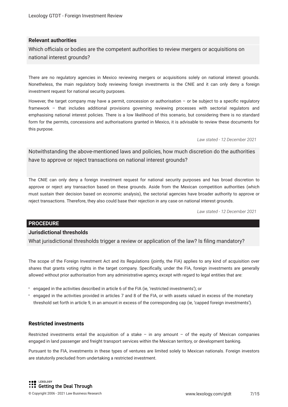#### **Relevant authorities**

Which officials or bodies are the competent authorities to review mergers or acquisitions on national interest grounds?

There are no regulatory agencies in Mexico reviewing mergers or acquisitions solely on national interest grounds. Nonetheless, the main regulatory body reviewing foreign investments is the CNIE and it can only deny a foreign investment request for national security purposes.

However, the target company may have a permit, concession or authorisation - or be subject to a specific regulatory framework – that includes additional provisions governing reviewing processes with sectorial regulators and emphasising national interest policies. There is a low likelihood of this scenario, but considering there is no standard form for the permits, concessions and authorisations granted in Mexico, it is advisable to review these documents for this purpose.

*Law stated - 12 December 2021*

Notwithstanding the above-mentioned laws and policies, how much discretion do the authorities have to approve or reject transactions on national interest grounds?

The CNIE can only deny a foreign investment request for national security purposes and has broad discretion to approve or reject any transaction based on these grounds. Aside from the Mexican competition authorities (which must sustain their decision based on economic analysis), the sectorial agencies have broader authority to approve or reject transactions. Therefore, they also could base their rejection in any case on national interest grounds.

*Law stated - 12 December 2021*

#### **PROCEDURE**

#### **Jurisdictional thresholds**

What jurisdictional thresholds trigger a review or application of the law? Is filing mandatory?

The scope of the Foreign Investment Act and its Regulations (jointly, the FIA) applies to any kind of acquisition over shares that grants voting rights in the target company. Specifcally, under the FIA, foreign investments are generally allowed without prior authorisation from any administrative agency, except with regard to legal entities that are:

- engaged in the activities described in article 6 of the FIA (ie, 'restricted investments'); or
- engaged in the activities provided in articles 7 and 8 of the FIA, or with assets valued in excess of the monetary threshold set forth in article 9, in an amount in excess of the corresponding cap (ie, 'capped foreign investments').

#### **Restricted investments**

Restricted investments entail the acquisition of a stake – in any amount – of the equity of Mexican companies engaged in land passenger and freight transport services within the Mexican territory, or development banking.

Pursuant to the FIA, investments in these types of ventures are limited solely to Mexican nationals. Foreign investors are statutorily precluded from undertaking a restricted investment.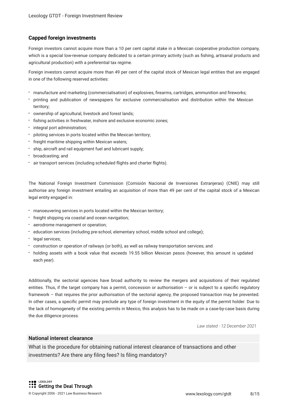#### **Capped foreign investments**

Foreign investors cannot acquire more than a 10 per cent capital stake in a Mexican cooperative production company, which is a special low-revenue company dedicated to a certain primary activity (such as fshing, artisanal products and agricultural production) with a preferential tax regime.

Foreign investors cannot acquire more than 49 per cent of the capital stock of Mexican legal entities that are engaged in one of the following reserved activities:

- manufacture and marketing (commercialisation) of explosives, frearms, cartridges, ammunition and freworks;
- printing and publication of newspapers for exclusive commercialisation and distribution within the Mexican territory;
- ownership of agricultural, livestock and forest lands;
- fshing activities in freshwater, inshore and exclusive economic zones;
- integral port administration;
- piloting services in ports located within the Mexican territory;
- freight maritime shipping within Mexican waters;
- ship, aircraft and rail equipment fuel and lubricant supply;
- broadcasting; and
- air transport services (including scheduled fights and charter fights).

The National Foreign Investment Commission (Comisión Nacional de Inversiones Extranjeras) (CNIE) may still authorise any foreign investment entailing an acquisition of more than 49 per cent of the capital stock of a Mexican legal entity engaged in:

- manoeuvering services in ports located within the Mexican territory;
- freight shipping via coastal and ocean navigation;
- aerodrome management or operation;
- education services (including pre-school, elementary school, middle school and college);
- legal services;
- construction or operation of railways (or both), as well as railway transportation services; and
- holding assets with a book value that exceeds 19.55 billion Mexican pesos (however, this amount is updated each year).

Additionally, the sectorial agencies have broad authority to review the mergers and acquisitions of their regulated entities. Thus, if the target company has a permit, concession or authorisation – or is subject to a specifc regulatory framework – that requires the prior authorisation of the sectorial agency, the proposed transaction may be prevented. In other cases, a specifc permit may preclude any type of foreign investment in the equity of the permit holder. Due to the lack of homogeneity of the existing permits in Mexico, this analysis has to be made on a case-by-case basis during the due diligence process.

*Law stated - 12 December 2021*

#### **National interest clearance**

What is the procedure for obtaining national interest clearance of transactions and other investments? Are there any fling fees? Is fling mandatory?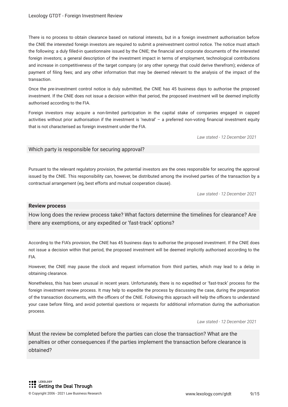There is no process to obtain clearance based on national interests, but in a foreign investment authorisation before the CNIE the interested foreign investors are required to submit a preinvestment control notice. The notice must attach the following: a duly flled-in questionnaire issued by the CNIE; the fnancial and corporate documents of the interested foreign investors; a general description of the investment impact in terms of employment, technological contributions and increase in competitiveness of the target company (or any other synergy that could derive therefrom); evidence of payment of fling fees; and any other information that may be deemed relevant to the analysis of the impact of the transaction.

Once the pre-investment control notice is duly submitted, the CNIE has 45 business days to authorise the proposed investment. If the CNIE does not issue a decision within that period, the proposed investment will be deemed implicitly authorised according to the FIA.

Foreign investors may acquire a non-limited participation in the capital stake of companies engaged in capped activities without prior authorisation if the investment is 'neutral' – a preferred non-voting fnancial investment equity that is not characterised as foreign investment under the FIA.

*Law stated - 12 December 2021*

#### Which party is responsible for securing approval?

Pursuant to the relevant regulatory provision, the potential investors are the ones responsible for securing the approval issued by the CNIE. This responsibility can, however, be distributed among the involved parties of the transaction by a contractual arrangement (eg, best efforts and mutual cooperation clause).

*Law stated - 12 December 2021*

#### **Review process**

How long does the review process take? What factors determine the timelines for clearance? Are there any exemptions, or any expedited or 'fast-track' options?

According to the FIA's provision, the CNIE has 45 business days to authorise the proposed investment. If the CNIE does not issue a decision within that period, the proposed investment will be deemed implicitly authorised according to the FIA.

However, the CNIE may pause the clock and request information from third parties, which may lead to a delay in obtaining clearance.

Nonetheless, this has been unusual in recent years. Unfortunately, there is no expedited or 'fast-track' process for the foreign investment review process. It may help to expedite the process by discussing the case, during the preparation of the transaction documents, with the officers of the CNIE. Following this approach will help the officers to understand your case before fling, and avoid potential questions or requests for additional information during the authorisation process.

*Law stated - 12 December 2021*

Must the review be completed before the parties can close the transaction? What are the penalties or other consequences if the parties implement the transaction before clearance is obtained?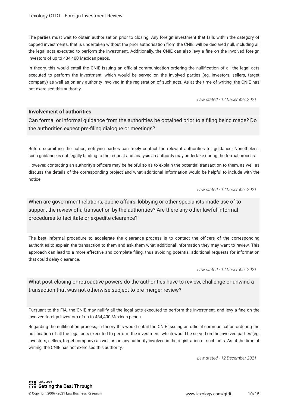The parties must wait to obtain authorisation prior to closing. Any foreign investment that falls within the category of capped investments, that is undertaken without the prior authorisation from the CNIE, will be declared null, including all the legal acts executed to perform the investment. Additionally, the CNIE can also levy a fne on the involved foreign investors of up to 434,400 Mexican pesos.

In theory, this would entail the CNIE issuing an official communication ordering the nullification of all the legal acts executed to perform the investment, which would be served on the involved parties (eg, investors, sellers, target company) as well as on any authority involved in the registration of such acts. As at the time of writing, the CNIE has not exercised this authority.

*Law stated - 12 December 2021*

#### **Involvement of authorities**

Can formal or informal guidance from the authorities be obtained prior to a fling being made? Do the authorities expect pre-fling dialogue or meetings?

Before submitting the notice, notifying parties can freely contact the relevant authorities for guidance. Nonetheless, such guidance is not legally binding to the request and analysis an authority may undertake during the formal process.

However, contacting an authority's officers may be helpful so as to explain the potential transaction to them, as well as discuss the details of the corresponding project and what additional information would be helpful to include with the notice.

*Law stated - 12 December 2021*

When are government relations, public affairs, lobbying or other specialists made use of to support the review of a transaction by the authorities? Are there any other lawful informal procedures to facilitate or expedite clearance?

The best informal procedure to accelerate the clearance process is to contact the officers of the corresponding authorities to explain the transaction to them and ask them what additional information they may want to review. This approach can lead to a more effective and complete fling, thus avoiding potential additional requests for information that could delay clearance.

*Law stated - 12 December 2021*

What post-closing or retroactive powers do the authorities have to review, challenge or unwind a transaction that was not otherwise subject to pre-merger review?

Pursuant to the FIA, the CNIE may nullify all the legal acts executed to perform the investment, and levy a fne on the involved foreign investors of up to 434,400 Mexican pesos.

Regarding the nullification process, in theory this would entail the CNIE issuing an official communication ordering the nullifcation of all the legal acts executed to perform the investment, which would be served on the involved parties (eg, investors, sellers, target company) as well as on any authority involved in the registration of such acts. As at the time of writing, the CNIE has not exercised this authority.

*Law stated - 12 December 2021*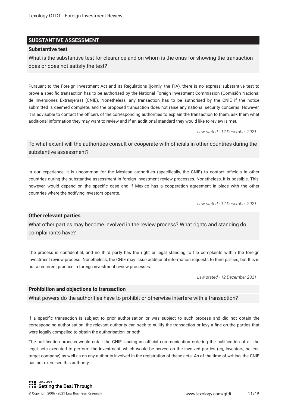#### **SUBSTANTIVE ASSESSMENT**

#### **Substantive test**

What is the substantive test for clearance and on whom is the onus for showing the transaction does or does not satisfy the test?

Pursuant to the Foreign Investment Act and its Regulations (jointly, the FIA), there is no express substantive test to prove a specifc transaction has to be authorised by the National Foreign Investment Commission (Comisión Nacional de Inversiones Extranjeras) (CNIE). Nonetheless, any transaction has to be authorised by the CNIE if the notice submitted is deemed complete, and the proposed transaction does not raise any national security concerns. However, it is advisable to contact the officers of the corresponding authorities to explain the transaction to them, ask them what additional information they may want to review and if an additional standard they would like to review is met.

*Law stated - 12 December 2021*

To what extent will the authorities consult or cooperate with officials in other countries during the substantive assessment?

In our experience, it is uncommon for the Mexican authorities (specifically, the CNIE) to contact officials in other countries during the substantive assessment in foreign investment review processes. Nonetheless, it is possible. This, however, would depend on the specifc case and if Mexico has a cooperation agreement in place with the other countries where the notifying investors operate.

*Law stated - 12 December 2021*

#### **Other relevant parties**

What other parties may become involved in the review process? What rights and standing do complainants have?

The process is confdential, and no third party has the right or legal standing to fle complaints within the foreign investment review process. Nonetheless, the CNIE may issue additional information requests to third parties, but this is not a recurrent practice in foreign investment review processes.

*Law stated - 12 December 2021*

#### **Prohibition and objections to transaction**

What powers do the authorities have to prohibit or otherwise interfere with a transaction?

If a specifc transaction is subject to prior authorisation or was subject to such process and did not obtain the corresponding authorisation, the relevant authority can seek to nullify the transaction or levy a fne on the parties that were legally compelled to obtain the authorisation, or both.

The nullification process would entail the CNIE issuing an official communication ordering the nullification of all the legal acts executed to perform the investment, which would be served on the involved parties (eg, investors, sellers, target company) as well as on any authority involved in the registration of these acts. As of the time of writing, the CNIE has not exercised this authority.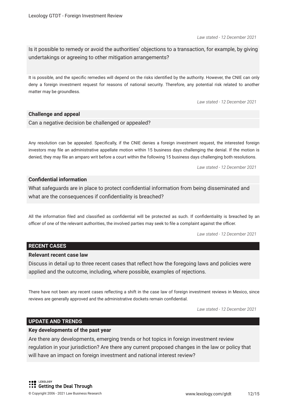*Law stated - 12 December 2021*

Is it possible to remedy or avoid the authorities' objections to a transaction, for example, by giving undertakings or agreeing to other mitigation arrangements?

It is possible, and the specifc remedies will depend on the risks identifed by the authority. However, the CNIE can only deny a foreign investment request for reasons of national security. Therefore, any potential risk related to another matter may be groundless.

*Law stated - 12 December 2021*

#### **Challenge and appeal**

Can a negative decision be challenged or appealed?

Any resolution can be appealed. Specifcally, if the CNIE denies a foreign investment request, the interested foreign investors may fle an administrative appellate motion within 15 business days challenging the denial. If the motion is denied, they may fle an amparo writ before a court within the following 15 business days challenging both resolutions.

*Law stated - 12 December 2021*

#### **Confdential information**

What safeguards are in place to protect confdential information from being disseminated and what are the consequences if confdentiality is breached?

All the information fled and classifed as confdential will be protected as such. If confdentiality is breached by an officer of one of the relevant authorities, the involved parties may seek to file a complaint against the officer.

*Law stated - 12 December 2021*

#### **RECENT CASES**

#### **Relevant recent case law**

Discuss in detail up to three recent cases that refect how the foregoing laws and policies were applied and the outcome, including, where possible, examples of rejections.

There have not been any recent cases refecting a shift in the case law of foreign investment reviews in Mexico, since reviews are generally approved and the administrative dockets remain confdential.

*Law stated - 12 December 2021*

#### **UPDATE AND TRENDS**

#### **Key developments of the past year**

Are there any developments, emerging trends or hot topics in foreign investment review regulation in your jurisdiction? Are there any current proposed changes in the law or policy that will have an impact on foreign investment and national interest review?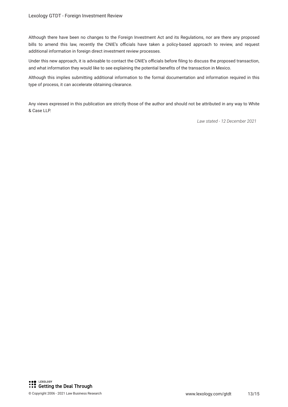Although there have been no changes to the Foreign Investment Act and its Regulations, nor are there any proposed bills to amend this law, recently the CNIE's officials have taken a policy-based approach to review, and request additional information in foreign direct investment review processes.

Under this new approach, it is advisable to contact the CNIE's officials before filing to discuss the proposed transaction, and what information they would like to see explaining the potential benefts of the transaction in Mexico.

Although this implies submitting additional information to the formal documentation and information required in this type of process, it can accelerate obtaining clearance.

Any views expressed in this publication are strictly those of the author and should not be attributed in any way to White & Case LLP.

*Law stated - 12 December 2021*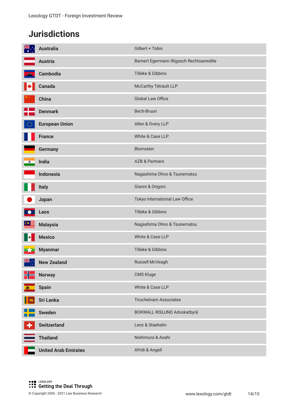# **Jurisdictions**

| <b>NK</b> | <b>Australia</b>            | Gilbert + Tobin                          |
|-----------|-----------------------------|------------------------------------------|
|           | <b>Austria</b>              | Barnert Egermann Illigasch Rechtsanwälte |
|           | <b>Cambodia</b>             | Tilleke & Gibbins                        |
| K         | <b>Canada</b>               | McCarthy Tétrault LLP                    |
|           | <b>China</b>                | Global Law Office                        |
|           | <b>Denmark</b>              | Bech-Bruun                               |
|           | <b>European Union</b>       | Allen & Overy LLP                        |
|           | <b>France</b>               | White & Case LLP                         |
|           | <b>Germany</b>              | Blomstein                                |
| $\circ$   | India                       | <b>AZB &amp; Partners</b>                |
|           | <b>Indonesia</b>            | Nagashima Ohno & Tsunematsu              |
|           | <b>Italy</b>                | Gianni & Origoni                         |
|           | Japan                       | Tokyo International Law Office           |
|           | Laos                        | Tilleke & Gibbins                        |
|           | <b>Malaysia</b>             | Nagashima Ohno & Tsunematsu              |
|           | <b>Mexico</b>               | White & Case LLP                         |
|           | <b>Myanmar</b>              | Tilleke & Gibbins                        |
| NK .      | <b>New Zealand</b>          | Russell McVeagh                          |
|           | <b>Norway</b>               | CMS Kluge                                |
| - and     | <b>Spain</b>                | White & Case LLP                         |
|           | <b>Sri Lanka</b>            | <b>Tiruchelvam Associates</b>            |
|           | <b>Sweden</b>               | BOKWALL RISLUND Advokatbyrå              |
|           | <b>Switzerland</b>          | Lenz & Staehelin                         |
|           | <b>Thailand</b>             | Nishimura & Asahi                        |
|           | <b>United Arab Emirates</b> | Afridi & Angell                          |